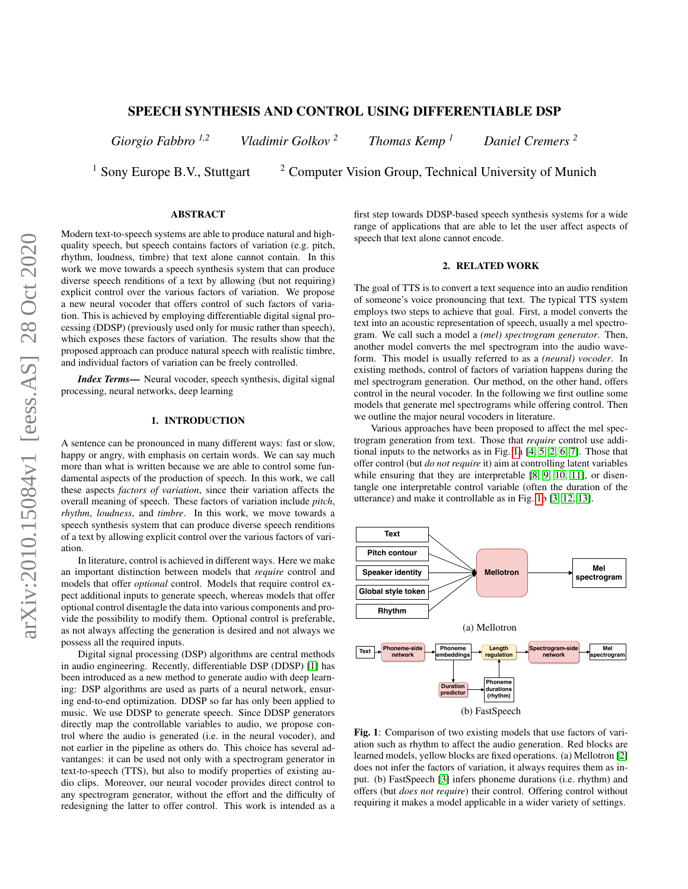# SPEECH SYNTHESIS AND CONTROL USING DIFFERENTIABLE DSP

*Giorgio Fabbro 1,2 Vladimir Golkov <sup>2</sup> Thomas Kemp <sup>1</sup> Daniel Cremers <sup>2</sup>*

<sup>1</sup> Sony Europe B.V., Stuttgart  $\frac{2 \text{ Computer Vision Group, Technical University of Munich}}{2}$ 

# ABSTRACT

Modern text-to-speech systems are able to produce natural and highquality speech, but speech contains factors of variation (e.g. pitch, rhythm, loudness, timbre) that text alone cannot contain. In this work we move towards a speech synthesis system that can produce diverse speech renditions of a text by allowing (but not requiring) explicit control over the various factors of variation. We propose a new neural vocoder that offers control of such factors of variation. This is achieved by employing differentiable digital signal processing (DDSP) (previously used only for music rather than speech), which exposes these factors of variation. The results show that the proposed approach can produce natural speech with realistic timbre, and individual factors of variation can be freely controlled.

*Index Terms*— Neural vocoder, speech synthesis, digital signal processing, neural networks, deep learning

# 1. INTRODUCTION

A sentence can be pronounced in many different ways: fast or slow, happy or angry, with emphasis on certain words. We can say much more than what is written because we are able to control some fundamental aspects of the production of speech. In this work, we call these aspects *factors of variation*, since their variation affects the overall meaning of speech. These factors of variation include *pitch*, *rhythm*, *loudness*, and *timbre*. In this work, we move towards a speech synthesis system that can produce diverse speech renditions of a text by allowing explicit control over the various factors of variation.

In literature, control is achieved in different ways. Here we make an important distinction between models that *require* control and models that offer *optional* control. Models that require control expect additional inputs to generate speech, whereas models that offer optional control disentagle the data into various components and provide the possibility to modify them. Optional control is preferable, as not always affecting the generation is desired and not always we possess all the required inputs.

Digital signal processing (DSP) algorithms are central methods in audio engineering. Recently, differentiable DSP (DDSP) [\[1\]](#page-4-0) has been introduced as a new method to generate audio with deep learning: DSP algorithms are used as parts of a neural network, ensuring end-to-end optimization. DDSP so far has only been applied to music. We use DDSP to generate speech. Since DDSP generators directly map the controllable variables to audio, we propose control where the audio is generated (i.e. in the neural vocoder), and not earlier in the pipeline as others do. This choice has several advantanges: it can be used not only with a spectrogram generator in text-to-speech (TTS), but also to modify properties of existing audio clips. Moreover, our neural vocoder provides direct control to any spectrogram generator, without the effort and the difficulty of redesigning the latter to offer control. This work is intended as a

first step towards DDSP-based speech synthesis systems for a wide range of applications that are able to let the user affect aspects of speech that text alone cannot encode.

# 2. RELATED WORK

The goal of TTS is to convert a text sequence into an audio rendition of someone's voice pronouncing that text. The typical TTS system employs two steps to achieve that goal. First, a model converts the text into an acoustic representation of speech, usually a mel spectrogram. We call such a model a *(mel) spectrogram generator*. Then, another model converts the mel spectrogram into the audio waveform. This model is usually referred to as a *(neural) vocoder*. In existing methods, control of factors of variation happens during the mel spectrogram generation. Our method, on the other hand, offers control in the neural vocoder. In the following we first outline some models that generate mel spectrograms while offering control. Then we outline the major neural vocoders in literature.

Various approaches have been proposed to affect the mel spectrogram generation from text. Those that *require* control use additional inputs to the networks as in Fig. [1a](#page-0-0) [\[4,](#page-4-1) [5,](#page-4-2) [2,](#page-4-3) [6,](#page-4-4) [7\]](#page-4-5). Those that offer control (but *do not require* it) aim at controlling latent variables while ensuring that they are interpretable [\[8,](#page-4-6) [9,](#page-4-7) [10,](#page-4-8) [11\]](#page-4-9), or disentangle one interpretable control variable (often the duration of the utterance) and make it controllable as in Fig. [1b](#page-0-0) [\[3,](#page-4-10) [12,](#page-4-11) [13\]](#page-4-12).

<span id="page-0-0"></span>

Fig. 1: Comparison of two existing models that use factors of variation such as rhythm to affect the audio generation. Red blocks are learned models, yellow blocks are fixed operations. (a) Mellotron [\[2\]](#page-4-3) does not infer the factors of variation, it always requires them as input. (b) FastSpeech [\[3\]](#page-4-10) infers phoneme durations (i.e. rhythm) and offers (but *does not require*) their control. Offering control without requiring it makes a model applicable in a wider variety of settings.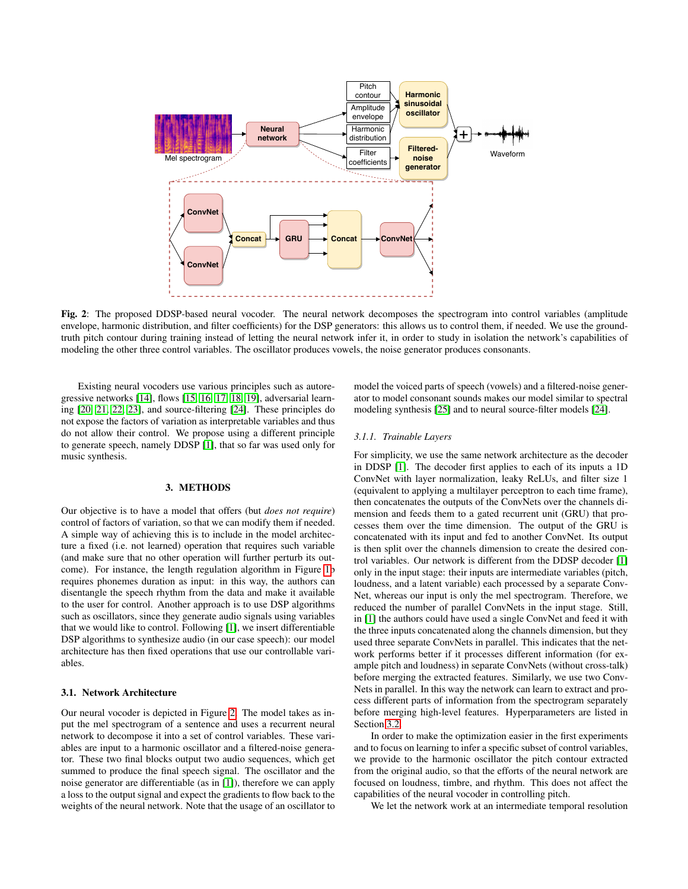<span id="page-1-0"></span>

Fig. 2: The proposed DDSP-based neural vocoder. The neural network decomposes the spectrogram into control variables (amplitude envelope, harmonic distribution, and filter coefficients) for the DSP generators: this allows us to control them, if needed. We use the groundtruth pitch contour during training instead of letting the neural network infer it, in order to study in isolation the network's capabilities of modeling the other three control variables. The oscillator produces vowels, the noise generator produces consonants.

Existing neural vocoders use various principles such as autoregressive networks [\[14\]](#page-4-13), flows [\[15,](#page-4-14) [16,](#page-4-15) [17,](#page-4-16) [18,](#page-4-17) [19\]](#page-4-18), adversarial learning [\[20,](#page-4-19) [21,](#page-4-20) [22,](#page-4-21) [23\]](#page-4-22), and source-filtering [\[24\]](#page-5-0). These principles do not expose the factors of variation as interpretable variables and thus do not allow their control. We propose using a different principle to generate speech, namely DDSP [\[1\]](#page-4-0), that so far was used only for music synthesis.

## 3. METHODS

Our objective is to have a model that offers (but *does not require*) control of factors of variation, so that we can modify them if needed. A simple way of achieving this is to include in the model architecture a fixed (i.e. not learned) operation that requires such variable (and make sure that no other operation will further perturb its outcome). For instance, the length regulation algorithm in Figure [1b](#page-0-0) requires phonemes duration as input: in this way, the authors can disentangle the speech rhythm from the data and make it available to the user for control. Another approach is to use DSP algorithms such as oscillators, since they generate audio signals using variables that we would like to control. Following [\[1\]](#page-4-0), we insert differentiable DSP algorithms to synthesize audio (in our case speech): our model architecture has then fixed operations that use our controllable variables.

### 3.1. Network Architecture

Our neural vocoder is depicted in Figure [2.](#page-1-0) The model takes as input the mel spectrogram of a sentence and uses a recurrent neural network to decompose it into a set of control variables. These variables are input to a harmonic oscillator and a filtered-noise generator. These two final blocks output two audio sequences, which get summed to produce the final speech signal. The oscillator and the noise generator are differentiable (as in [\[1\]](#page-4-0)), therefore we can apply a loss to the output signal and expect the gradients to flow back to the weights of the neural network. Note that the usage of an oscillator to

model the voiced parts of speech (vowels) and a filtered-noise generator to model consonant sounds makes our model similar to spectral modeling synthesis [\[25\]](#page-5-1) and to neural source-filter models [\[24\]](#page-5-0).

#### *3.1.1. Trainable Layers*

For simplicity, we use the same network architecture as the decoder in DDSP [\[1\]](#page-4-0). The decoder first applies to each of its inputs a 1D ConvNet with layer normalization, leaky ReLUs, and filter size 1 (equivalent to applying a multilayer perceptron to each time frame), then concatenates the outputs of the ConvNets over the channels dimension and feeds them to a gated recurrent unit (GRU) that processes them over the time dimension. The output of the GRU is concatenated with its input and fed to another ConvNet. Its output is then split over the channels dimension to create the desired control variables. Our network is different from the DDSP decoder [\[1\]](#page-4-0) only in the input stage: their inputs are intermediate variables (pitch, loudness, and a latent variable) each processed by a separate Conv-Net, whereas our input is only the mel spectrogram. Therefore, we reduced the number of parallel ConvNets in the input stage. Still, in [\[1\]](#page-4-0) the authors could have used a single ConvNet and feed it with the three inputs concatenated along the channels dimension, but they used three separate ConvNets in parallel. This indicates that the network performs better if it processes different information (for example pitch and loudness) in separate ConvNets (without cross-talk) before merging the extracted features. Similarly, we use two Conv-Nets in parallel. In this way the network can learn to extract and process different parts of information from the spectrogram separately before merging high-level features. Hyperparameters are listed in Section [3.2.](#page-2-0)

In order to make the optimization easier in the first experiments and to focus on learning to infer a specific subset of control variables, we provide to the harmonic oscillator the pitch contour extracted from the original audio, so that the efforts of the neural network are focused on loudness, timbre, and rhythm. This does not affect the capabilities of the neural vocoder in controlling pitch.

We let the network work at an intermediate temporal resolution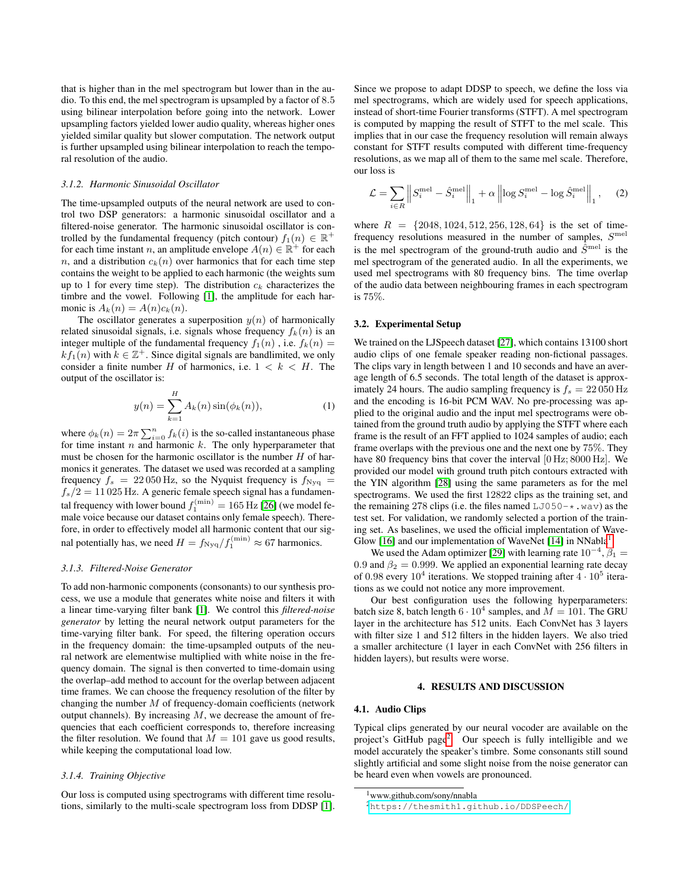that is higher than in the mel spectrogram but lower than in the audio. To this end, the mel spectrogram is upsampled by a factor of 8.5 using bilinear interpolation before going into the network. Lower upsampling factors yielded lower audio quality, whereas higher ones yielded similar quality but slower computation. The network output is further upsampled using bilinear interpolation to reach the temporal resolution of the audio.

## *3.1.2. Harmonic Sinusoidal Oscillator*

The time-upsampled outputs of the neural network are used to control two DSP generators: a harmonic sinusoidal oscillator and a filtered-noise generator. The harmonic sinusoidal oscillator is controlled by the fundamental frequency (pitch contour)  $f_1(n) \in \mathbb{R}^+$ for each time instant n, an amplitude envelope  $A(n) \in \mathbb{R}^+$  for each n, and a distribution  $c_k(n)$  over harmonics that for each time step contains the weight to be applied to each harmonic (the weights sum up to 1 for every time step). The distribution  $c_k$  characterizes the timbre and the vowel. Following [\[1\]](#page-4-0), the amplitude for each harmonic is  $A_k(n) = A(n)c_k(n)$ .

The oscillator generates a superposition  $y(n)$  of harmonically related sinusoidal signals, i.e. signals whose frequency  $f_k(n)$  is an integer multiple of the fundamental frequency  $f_1(n)$ , i.e.  $f_k(n)$  $k f_1(n)$  with  $k \in \mathbb{Z}^+$ . Since digital signals are bandlimited, we only consider a finite number H of harmonics, i.e.  $1 < k < H$ . The output of the oscillator is:

$$
y(n) = \sum_{k=1}^{H} A_k(n) \sin(\phi_k(n)),
$$
 (1)

where  $\phi_k(n) = 2\pi \sum_{i=0}^n f_k(i)$  is the so-called instantaneous phase for time instant  $n$  and harmonic  $k$ . The only hyperparameter that must be chosen for the harmonic oscillator is the number  $H$  of harmonics it generates. The dataset we used was recorded at a sampling frequency  $f_s = 22050$  Hz, so the Nyquist frequency is  $f_{\text{Nyq}} =$  $f_s/2 = 11025$  Hz. A generic female speech signal has a fundamental frequency with lower bound  $f_1^{\text{(min)}} = 165 \,\text{Hz}$  [\[26\]](#page-5-2) (we model female voice because our dataset contains only female speech). Therefore, in order to effectively model all harmonic content that our signal potentially has, we need  $H = f_{\text{Nyq}}/f_1^{\text{(min)}} \approx 67$  harmonics.

### *3.1.3. Filtered-Noise Generator*

To add non-harmonic components (consonants) to our synthesis process, we use a module that generates white noise and filters it with a linear time-varying filter bank [\[1\]](#page-4-0). We control this *filtered-noise generator* by letting the neural network output parameters for the time-varying filter bank. For speed, the filtering operation occurs in the frequency domain: the time-upsampled outputs of the neural network are elementwise multiplied with white noise in the frequency domain. The signal is then converted to time-domain using the overlap–add method to account for the overlap between adjacent time frames. We can choose the frequency resolution of the filter by changing the number  $M$  of frequency-domain coefficients (network output channels). By increasing  $M$ , we decrease the amount of frequencies that each coefficient corresponds to, therefore increasing the filter resolution. We found that  $M = 101$  gave us good results, while keeping the computational load low.

## *3.1.4. Training Objective*

Our loss is computed using spectrograms with different time resolutions, similarly to the multi-scale spectrogram loss from DDSP [\[1\]](#page-4-0). Since we propose to adapt DDSP to speech, we define the loss via mel spectrograms, which are widely used for speech applications, instead of short-time Fourier transforms (STFT). A mel spectrogram is computed by mapping the result of STFT to the mel scale. This implies that in our case the frequency resolution will remain always constant for STFT results computed with different time-frequency resolutions, as we map all of them to the same mel scale. Therefore, our loss is

$$
\mathcal{L} = \sum_{i \in R} \left\| S_i^{\text{mel}} - \hat{S}_i^{\text{mel}} \right\|_1 + \alpha \left\| \log S_i^{\text{mel}} - \log \hat{S}_i^{\text{mel}} \right\|_1, \quad (2)
$$

where  $R = \{2048, 1024, 512, 256, 128, 64\}$  is the set of timefrequency resolutions measured in the number of samples,  $S<sup>mel</sup>$ is the mel spectrogram of the ground-truth audio and  $\hat{S}^{\text{mel}}$  is the mel spectrogram of the generated audio. In all the experiments, we used mel spectrograms with 80 frequency bins. The time overlap of the audio data between neighbouring frames in each spectrogram is 75%.

# <span id="page-2-0"></span>3.2. Experimental Setup

We trained on the LJSpeech dataset [\[27\]](#page-5-3), which contains 13100 short audio clips of one female speaker reading non-fictional passages. The clips vary in length between 1 and 10 seconds and have an average length of 6.5 seconds. The total length of the dataset is approximately 24 hours. The audio sampling frequency is  $f_s = 22 050$  Hz and the encoding is 16-bit PCM WAV. No pre-processing was applied to the original audio and the input mel spectrograms were obtained from the ground truth audio by applying the STFT where each frame is the result of an FFT applied to 1024 samples of audio; each frame overlaps with the previous one and the next one by 75%. They have 80 frequency bins that cover the interval  $[0 Hz: 8000 Hz]$ . We provided our model with ground truth pitch contours extracted with the YIN algorithm [\[28\]](#page-5-4) using the same parameters as for the mel spectrograms. We used the first 12822 clips as the training set, and the remaining 278 clips (i.e. the files named  $LJO50-*$ . wav) as the test set. For validation, we randomly selected a portion of the training set. As baselines, we used the official implementation of Wave-Glow [\[16\]](#page-4-15) and our implementation of WaveNet [\[14\]](#page-4-13) in NNabla<sup>[1](#page-2-1)</sup>.

We used the Adam optimizer [\[29\]](#page-5-5) with learning rate  $10^{-4}$ ,  $\beta_1 =$ 0.9 and  $\beta_2 = 0.999$ . We applied an exponential learning rate decay of 0.98 every  $10^4$  iterations. We stopped training after  $4 \cdot 10^5$  iterations as we could not notice any more improvement.

Our best configuration uses the following hyperparameters: batch size 8, batch length  $6 \cdot 10^4$  samples, and  $\dot{M} = 101$ . The GRU layer in the architecture has 512 units. Each ConvNet has 3 layers with filter size 1 and 512 filters in the hidden layers. We also tried a smaller architecture (1 layer in each ConvNet with 256 filters in hidden layers), but results were worse.

#### 4. RESULTS AND DISCUSSION

#### 4.1. Audio Clips

Typical clips generated by our neural vocoder are available on the project's GitHub page<sup>[2](#page-2-2)</sup>. Our speech is fully intelligible and we model accurately the speaker's timbre. Some consonants still sound slightly artificial and some slight noise from the noise generator can be heard even when vowels are pronounced.

<span id="page-2-1"></span><sup>1</sup>www.github.com/sony/nnabla

<span id="page-2-2"></span><sup>2</sup><https://thesmith1.github.io/DDSPeech/>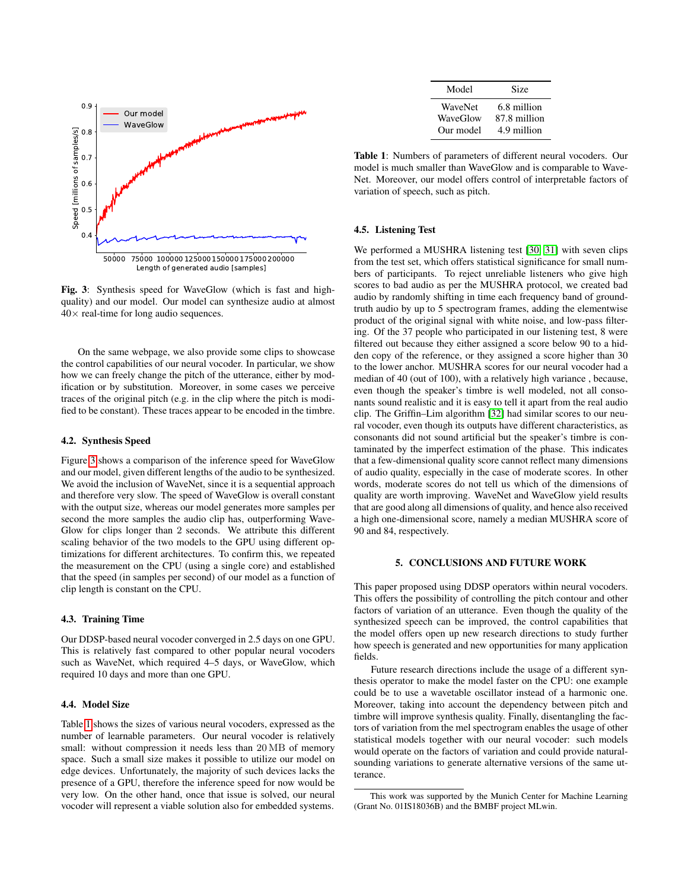<span id="page-3-0"></span>

Fig. 3: Synthesis speed for WaveGlow (which is fast and highquality) and our model. Our model can synthesize audio at almost  $40\times$  real-time for long audio sequences.

On the same webpage, we also provide some clips to showcase the control capabilities of our neural vocoder. In particular, we show how we can freely change the pitch of the utterance, either by modification or by substitution. Moreover, in some cases we perceive traces of the original pitch (e.g. in the clip where the pitch is modified to be constant). These traces appear to be encoded in the timbre.

### 4.2. Synthesis Speed

Figure [3](#page-3-0) shows a comparison of the inference speed for WaveGlow and our model, given different lengths of the audio to be synthesized. We avoid the inclusion of WaveNet, since it is a sequential approach and therefore very slow. The speed of WaveGlow is overall constant with the output size, whereas our model generates more samples per second the more samples the audio clip has, outperforming Wave-Glow for clips longer than 2 seconds. We attribute this different scaling behavior of the two models to the GPU using different optimizations for different architectures. To confirm this, we repeated the measurement on the CPU (using a single core) and established that the speed (in samples per second) of our model as a function of clip length is constant on the CPU.

### 4.3. Training Time

Our DDSP-based neural vocoder converged in 2.5 days on one GPU. This is relatively fast compared to other popular neural vocoders such as WaveNet, which required 4–5 days, or WaveGlow, which required 10 days and more than one GPU.

### 4.4. Model Size

Table [1](#page-3-1) shows the sizes of various neural vocoders, expressed as the number of learnable parameters. Our neural vocoder is relatively small: without compression it needs less than 20 MB of memory space. Such a small size makes it possible to utilize our model on edge devices. Unfortunately, the majority of such devices lacks the presence of a GPU, therefore the inference speed for now would be very low. On the other hand, once that issue is solved, our neural vocoder will represent a viable solution also for embedded systems.

| Model     | Size         |
|-----------|--------------|
| WaveNet   | 6.8 million  |
| WaveGlow  | 87.8 million |
| Our model | 4.9 million  |

<span id="page-3-1"></span>Table 1: Numbers of parameters of different neural vocoders. Our model is much smaller than WaveGlow and is comparable to Wave-Net. Moreover, our model offers control of interpretable factors of variation of speech, such as pitch.

#### 4.5. Listening Test

We performed a MUSHRA listening test [\[30,](#page-5-6) [31\]](#page-5-7) with seven clips from the test set, which offers statistical significance for small numbers of participants. To reject unreliable listeners who give high scores to bad audio as per the MUSHRA protocol, we created bad audio by randomly shifting in time each frequency band of groundtruth audio by up to 5 spectrogram frames, adding the elementwise product of the original signal with white noise, and low-pass filtering. Of the 37 people who participated in our listening test, 8 were filtered out because they either assigned a score below 90 to a hidden copy of the reference, or they assigned a score higher than 30 to the lower anchor. MUSHRA scores for our neural vocoder had a median of 40 (out of 100), with a relatively high variance , because, even though the speaker's timbre is well modeled, not all consonants sound realistic and it is easy to tell it apart from the real audio clip. The Griffin–Lim algorithm [\[32\]](#page-5-8) had similar scores to our neural vocoder, even though its outputs have different characteristics, as consonants did not sound artificial but the speaker's timbre is contaminated by the imperfect estimation of the phase. This indicates that a few-dimensional quality score cannot reflect many dimensions of audio quality, especially in the case of moderate scores. In other words, moderate scores do not tell us which of the dimensions of quality are worth improving. WaveNet and WaveGlow yield results that are good along all dimensions of quality, and hence also received a high one-dimensional score, namely a median MUSHRA score of 90 and 84, respectively.

### 5. CONCLUSIONS AND FUTURE WORK

This paper proposed using DDSP operators within neural vocoders. This offers the possibility of controlling the pitch contour and other factors of variation of an utterance. Even though the quality of the synthesized speech can be improved, the control capabilities that the model offers open up new research directions to study further how speech is generated and new opportunities for many application fields.

Future research directions include the usage of a different synthesis operator to make the model faster on the CPU: one example could be to use a wavetable oscillator instead of a harmonic one. Moreover, taking into account the dependency between pitch and timbre will improve synthesis quality. Finally, disentangling the factors of variation from the mel spectrogram enables the usage of other statistical models together with our neural vocoder: such models would operate on the factors of variation and could provide naturalsounding variations to generate alternative versions of the same utterance.

This work was supported by the Munich Center for Machine Learning (Grant No. 01IS18036B) and the BMBF project MLwin.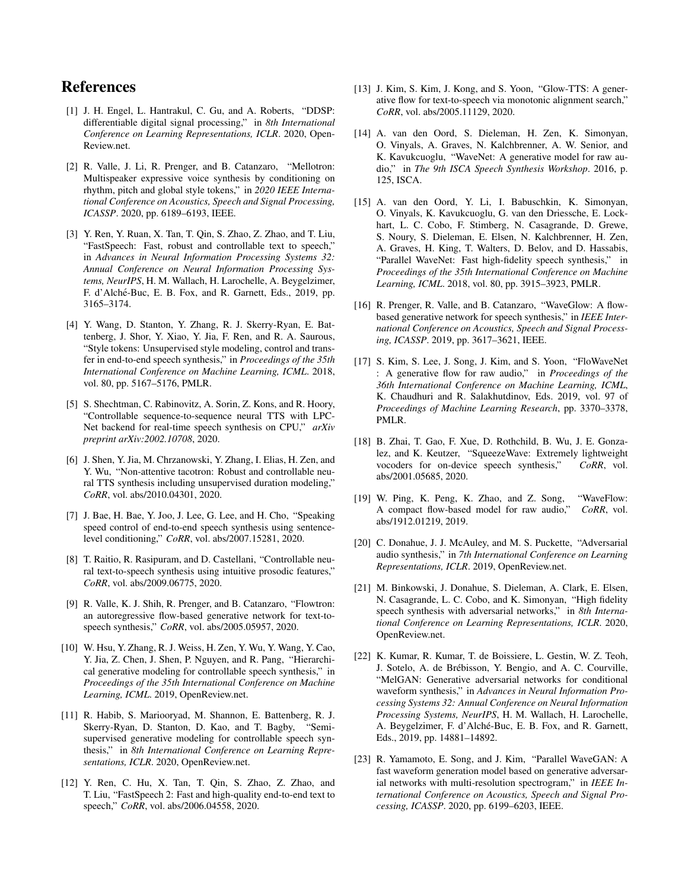# References

- <span id="page-4-0"></span>[1] J. H. Engel, L. Hantrakul, C. Gu, and A. Roberts, "DDSP: differentiable digital signal processing," in *8th International Conference on Learning Representations, ICLR*. 2020, Open-Review.net.
- <span id="page-4-3"></span>[2] R. Valle, J. Li, R. Prenger, and B. Catanzaro, "Mellotron: Multispeaker expressive voice synthesis by conditioning on rhythm, pitch and global style tokens," in *2020 IEEE International Conference on Acoustics, Speech and Signal Processing, ICASSP*. 2020, pp. 6189–6193, IEEE.
- <span id="page-4-10"></span>[3] Y. Ren, Y. Ruan, X. Tan, T. Qin, S. Zhao, Z. Zhao, and T. Liu, "FastSpeech: Fast, robust and controllable text to speech," in *Advances in Neural Information Processing Systems 32: Annual Conference on Neural Information Processing Systems, NeurIPS*, H. M. Wallach, H. Larochelle, A. Beygelzimer, F. d'Alché-Buc, E. B. Fox, and R. Garnett, Eds., 2019, pp. 3165–3174.
- <span id="page-4-1"></span>[4] Y. Wang, D. Stanton, Y. Zhang, R. J. Skerry-Ryan, E. Battenberg, J. Shor, Y. Xiao, Y. Jia, F. Ren, and R. A. Saurous, "Style tokens: Unsupervised style modeling, control and transfer in end-to-end speech synthesis," in *Proceedings of the 35th International Conference on Machine Learning, ICML*. 2018, vol. 80, pp. 5167–5176, PMLR.
- <span id="page-4-2"></span>[5] S. Shechtman, C. Rabinovitz, A. Sorin, Z. Kons, and R. Hoory, "Controllable sequence-to-sequence neural TTS with LPC-Net backend for real-time speech synthesis on CPU," *arXiv preprint arXiv:2002.10708*, 2020.
- <span id="page-4-4"></span>[6] J. Shen, Y. Jia, M. Chrzanowski, Y. Zhang, I. Elias, H. Zen, and Y. Wu, "Non-attentive tacotron: Robust and controllable neural TTS synthesis including unsupervised duration modeling," *CoRR*, vol. abs/2010.04301, 2020.
- <span id="page-4-5"></span>[7] J. Bae, H. Bae, Y. Joo, J. Lee, G. Lee, and H. Cho, "Speaking speed control of end-to-end speech synthesis using sentencelevel conditioning," *CoRR*, vol. abs/2007.15281, 2020.
- <span id="page-4-6"></span>[8] T. Raitio, R. Rasipuram, and D. Castellani, "Controllable neural text-to-speech synthesis using intuitive prosodic features," *CoRR*, vol. abs/2009.06775, 2020.
- <span id="page-4-7"></span>[9] R. Valle, K. J. Shih, R. Prenger, and B. Catanzaro, "Flowtron: an autoregressive flow-based generative network for text-tospeech synthesis," *CoRR*, vol. abs/2005.05957, 2020.
- <span id="page-4-8"></span>[10] W. Hsu, Y. Zhang, R. J. Weiss, H. Zen, Y. Wu, Y. Wang, Y. Cao, Y. Jia, Z. Chen, J. Shen, P. Nguyen, and R. Pang, "Hierarchical generative modeling for controllable speech synthesis," in *Proceedings of the 35th International Conference on Machine Learning, ICML*. 2019, OpenReview.net.
- <span id="page-4-9"></span>[11] R. Habib, S. Mariooryad, M. Shannon, E. Battenberg, R. J. Skerry-Ryan, D. Stanton, D. Kao, and T. Bagby, "Semisupervised generative modeling for controllable speech synthesis," in *8th International Conference on Learning Representations, ICLR*. 2020, OpenReview.net.
- <span id="page-4-11"></span>[12] Y. Ren, C. Hu, X. Tan, T. Qin, S. Zhao, Z. Zhao, and T. Liu, "FastSpeech 2: Fast and high-quality end-to-end text to speech," *CoRR*, vol. abs/2006.04558, 2020.
- <span id="page-4-12"></span>[13] J. Kim, S. Kim, J. Kong, and S. Yoon, "Glow-TTS: A generative flow for text-to-speech via monotonic alignment search," *CoRR*, vol. abs/2005.11129, 2020.
- <span id="page-4-13"></span>[14] A. van den Oord, S. Dieleman, H. Zen, K. Simonyan, O. Vinyals, A. Graves, N. Kalchbrenner, A. W. Senior, and K. Kavukcuoglu, "WaveNet: A generative model for raw audio," in *The 9th ISCA Speech Synthesis Workshop*. 2016, p. 125, ISCA.
- <span id="page-4-14"></span>[15] A. van den Oord, Y. Li, I. Babuschkin, K. Simonyan, O. Vinyals, K. Kavukcuoglu, G. van den Driessche, E. Lockhart, L. C. Cobo, F. Stimberg, N. Casagrande, D. Grewe, S. Noury, S. Dieleman, E. Elsen, N. Kalchbrenner, H. Zen, A. Graves, H. King, T. Walters, D. Belov, and D. Hassabis, "Parallel WaveNet: Fast high-fidelity speech synthesis," in *Proceedings of the 35th International Conference on Machine Learning, ICML*. 2018, vol. 80, pp. 3915–3923, PMLR.
- <span id="page-4-15"></span>[16] R. Prenger, R. Valle, and B. Catanzaro, "WaveGlow: A flowbased generative network for speech synthesis," in *IEEE International Conference on Acoustics, Speech and Signal Processing, ICASSP*. 2019, pp. 3617–3621, IEEE.
- <span id="page-4-16"></span>[17] S. Kim, S. Lee, J. Song, J. Kim, and S. Yoon, "FloWaveNet" : A generative flow for raw audio," in *Proceedings of the 36th International Conference on Machine Learning, ICML*, K. Chaudhuri and R. Salakhutdinov, Eds. 2019, vol. 97 of *Proceedings of Machine Learning Research*, pp. 3370–3378, PMLR.
- <span id="page-4-17"></span>[18] B. Zhai, T. Gao, F. Xue, D. Rothchild, B. Wu, J. E. Gonzalez, and K. Keutzer, "SqueezeWave: Extremely lightweight vocoders for on-device speech synthesis," *CoRR*, vol. abs/2001.05685, 2020.
- <span id="page-4-18"></span>[19] W. Ping, K. Peng, K. Zhao, and Z. Song, "WaveFlow: A compact flow-based model for raw audio," *CoRR*, vol. abs/1912.01219, 2019.
- <span id="page-4-19"></span>[20] C. Donahue, J. J. McAuley, and M. S. Puckette, "Adversarial audio synthesis," in *7th International Conference on Learning Representations, ICLR*. 2019, OpenReview.net.
- <span id="page-4-20"></span>[21] M. Binkowski, J. Donahue, S. Dieleman, A. Clark, E. Elsen, N. Casagrande, L. C. Cobo, and K. Simonyan, "High fidelity speech synthesis with adversarial networks," in *8th International Conference on Learning Representations, ICLR*. 2020, OpenReview.net.
- <span id="page-4-21"></span>[22] K. Kumar, R. Kumar, T. de Boissiere, L. Gestin, W. Z. Teoh, J. Sotelo, A. de Brebisson, Y. Bengio, and A. C. Courville, ´ "MelGAN: Generative adversarial networks for conditional waveform synthesis," in *Advances in Neural Information Processing Systems 32: Annual Conference on Neural Information Processing Systems, NeurIPS*, H. M. Wallach, H. Larochelle, A. Beygelzimer, F. d'Alché-Buc, E. B. Fox, and R. Garnett, Eds., 2019, pp. 14881–14892.
- <span id="page-4-22"></span>[23] R. Yamamoto, E. Song, and J. Kim, "Parallel WaveGAN: A fast waveform generation model based on generative adversarial networks with multi-resolution spectrogram," in *IEEE International Conference on Acoustics, Speech and Signal Processing, ICASSP*. 2020, pp. 6199–6203, IEEE.